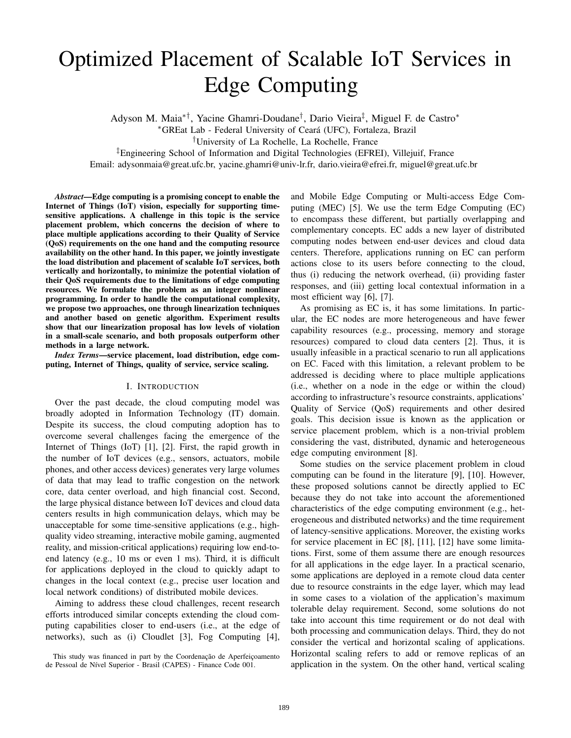# Optimized Placement of Scalable IoT Services in Edge Computing

Adyson M. Maia∗†, Yacine Ghamri-Doudane† , Dario Vieira‡ , Miguel F. de Castro<sup>∗</sup>

<sup>∗</sup>GREat Lab - Federal University of Ceara (UFC), Fortaleza, Brazil ´

†University of La Rochelle, La Rochelle, France

‡Engineering School of Information and Digital Technologies (EFREI), Villejuif, France

Email: adysonmaia@great.ufc.br, yacine.ghamri@univ-lr.fr, dario.vieira@efrei.fr, miguel@great.ufc.br

*Abstract*—Edge computing is a promising concept to enable the Internet of Things (IoT) vision, especially for supporting timesensitive applications. A challenge in this topic is the service placement problem, which concerns the decision of where to place multiple applications according to their Quality of Service (QoS) requirements on the one hand and the computing resource availability on the other hand. In this paper, we jointly investigate the load distribution and placement of scalable IoT services, both vertically and horizontally, to minimize the potential violation of their QoS requirements due to the limitations of edge computing resources. We formulate the problem as an integer nonlinear programming. In order to handle the computational complexity, we propose two approaches, one through linearization techniques and another based on genetic algorithm. Experiment results show that our linearization proposal has low levels of violation in a small-scale scenario, and both proposals outperform other methods in a large network.

*Index Terms*—service placement, load distribution, edge computing, Internet of Things, quality of service, service scaling.

#### I. INTRODUCTION

Over the past decade, the cloud computing model was broadly adopted in Information Technology (IT) domain. Despite its success, the cloud computing adoption has to overcome several challenges facing the emergence of the Internet of Things (IoT) [1], [2]. First, the rapid growth in the number of IoT devices (e.g., sensors, actuators, mobile phones, and other access devices) generates very large volumes of data that may lead to traffic congestion on the network core, data center overload, and high financial cost. Second, the large physical distance between IoT devices and cloud data centers results in high communication delays, which may be unacceptable for some time-sensitive applications (e.g., highquality video streaming, interactive mobile gaming, augmented reality, and mission-critical applications) requiring low end-toend latency (e.g., 10 ms or even 1 ms). Third, it is difficult for applications deployed in the cloud to quickly adapt to changes in the local context (e.g., precise user location and local network conditions) of distributed mobile devices.

Aiming to address these cloud challenges, recent research efforts introduced similar concepts extending the cloud computing capabilities closer to end-users (i.e., at the edge of networks), such as (i) Cloudlet [3], Fog Computing [4],

This study was financed in part by the Coordenação de Aperfeiçoamento de Pessoal de Nível Superior - Brasil (CAPES) - Finance Code 001.

and Mobile Edge Computing or Multi-access Edge Computing (MEC) [5]. We use the term Edge Computing (EC) to encompass these different, but partially overlapping and complementary concepts. EC adds a new layer of distributed computing nodes between end-user devices and cloud data centers. Therefore, applications running on EC can perform actions close to its users before connecting to the cloud, thus (i) reducing the network overhead, (ii) providing faster responses, and (iii) getting local contextual information in a most efficient way [6], [7].

As promising as EC is, it has some limitations. In particular, the EC nodes are more heterogeneous and have fewer capability resources (e.g., processing, memory and storage resources) compared to cloud data centers [2]. Thus, it is usually infeasible in a practical scenario to run all applications on EC. Faced with this limitation, a relevant problem to be addressed is deciding where to place multiple applications (i.e., whether on a node in the edge or within the cloud) according to infrastructure's resource constraints, applications' Quality of Service (QoS) requirements and other desired goals. This decision issue is known as the application or service placement problem, which is a non-trivial problem considering the vast, distributed, dynamic and heterogeneous edge computing environment [8].

Some studies on the service placement problem in cloud computing can be found in the literature [9], [10]. However, these proposed solutions cannot be directly applied to EC because they do not take into account the aforementioned characteristics of the edge computing environment (e.g., heterogeneous and distributed networks) and the time requirement of latency-sensitive applications. Moreover, the existing works for service placement in EC [8], [11], [12] have some limitations. First, some of them assume there are enough resources for all applications in the edge layer. In a practical scenario, some applications are deployed in a remote cloud data center due to resource constraints in the edge layer, which may lead in some cases to a violation of the application's maximum tolerable delay requirement. Second, some solutions do not take into account this time requirement or do not deal with both processing and communication delays. Third, they do not consider the vertical and horizontal scaling of applications. Horizontal scaling refers to add or remove replicas of an application in the system. On the other hand, vertical scaling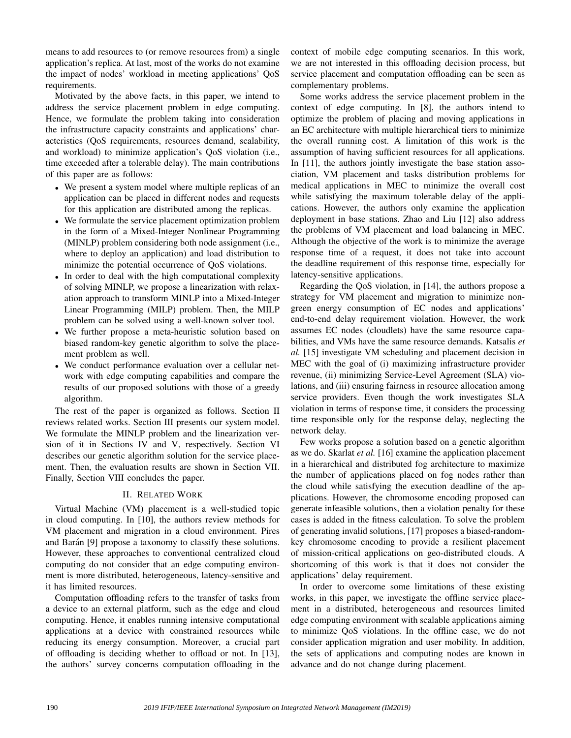means to add resources to (or remove resources from) a single application's replica. At last, most of the works do not examine the impact of nodes' workload in meeting applications' QoS requirements.

Motivated by the above facts, in this paper, we intend to address the service placement problem in edge computing. Hence, we formulate the problem taking into consideration the infrastructure capacity constraints and applications' characteristics (QoS requirements, resources demand, scalability, and workload) to minimize application's QoS violation (i.e., time exceeded after a tolerable delay). The main contributions of this paper are as follows:

- We present a system model where multiple replicas of an application can be placed in different nodes and requests for this application are distributed among the replicas.
- We formulate the service placement optimization problem in the form of a Mixed-Integer Nonlinear Programming (MINLP) problem considering both node assignment (i.e., where to deploy an application) and load distribution to minimize the potential occurrence of QoS violations.
- In order to deal with the high computational complexity of solving MINLP, we propose a linearization with relaxation approach to transform MINLP into a Mixed-Integer Linear Programming (MILP) problem. Then, the MILP problem can be solved using a well-known solver tool.
- We further propose a meta-heuristic solution based on biased random-key genetic algorithm to solve the placement problem as well.
- We conduct performance evaluation over a cellular network with edge computing capabilities and compare the results of our proposed solutions with those of a greedy algorithm.

The rest of the paper is organized as follows. Section II reviews related works. Section III presents our system model. We formulate the MINLP problem and the linearization version of it in Sections IV and V, respectively. Section VI describes our genetic algorithm solution for the service placement. Then, the evaluation results are shown in Section VII. Finally, Section VIII concludes the paper.

# II. RELATED WORK

Virtual Machine (VM) placement is a well-studied topic in cloud computing. In [10], the authors review methods for VM placement and migration in a cloud environment. Pires and Barán [9] propose a taxonomy to classify these solutions. However, these approaches to conventional centralized cloud computing do not consider that an edge computing environment is more distributed, heterogeneous, latency-sensitive and it has limited resources.

Computation offloading refers to the transfer of tasks from a device to an external platform, such as the edge and cloud computing. Hence, it enables running intensive computational applications at a device with constrained resources while reducing its energy consumption. Moreover, a crucial part of offloading is deciding whether to offload or not. In [13], the authors' survey concerns computation offloading in the context of mobile edge computing scenarios. In this work, we are not interested in this offloading decision process, but service placement and computation offloading can be seen as complementary problems.

Some works address the service placement problem in the context of edge computing. In [8], the authors intend to optimize the problem of placing and moving applications in an EC architecture with multiple hierarchical tiers to minimize the overall running cost. A limitation of this work is the assumption of having sufficient resources for all applications. In [11], the authors jointly investigate the base station association, VM placement and tasks distribution problems for medical applications in MEC to minimize the overall cost while satisfying the maximum tolerable delay of the applications. However, the authors only examine the application deployment in base stations. Zhao and Liu [12] also address the problems of VM placement and load balancing in MEC. Although the objective of the work is to minimize the average response time of a request, it does not take into account the deadline requirement of this response time, especially for latency-sensitive applications.

Regarding the QoS violation, in [14], the authors propose a strategy for VM placement and migration to minimize nongreen energy consumption of EC nodes and applications' end-to-end delay requirement violation. However, the work assumes EC nodes (cloudlets) have the same resource capabilities, and VMs have the same resource demands. Katsalis *et al.* [15] investigate VM scheduling and placement decision in MEC with the goal of (i) maximizing infrastructure provider revenue, (ii) minimizing Service-Level Agreement (SLA) violations, and (iii) ensuring fairness in resource allocation among service providers. Even though the work investigates SLA violation in terms of response time, it considers the processing time responsible only for the response delay, neglecting the network delay.

Few works propose a solution based on a genetic algorithm as we do. Skarlat *et al.* [16] examine the application placement in a hierarchical and distributed fog architecture to maximize the number of applications placed on fog nodes rather than the cloud while satisfying the execution deadline of the applications. However, the chromosome encoding proposed can generate infeasible solutions, then a violation penalty for these cases is added in the fitness calculation. To solve the problem of generating invalid solutions, [17] proposes a biased-randomkey chromosome encoding to provide a resilient placement of mission-critical applications on geo-distributed clouds. A shortcoming of this work is that it does not consider the applications' delay requirement.

In order to overcome some limitations of these existing works, in this paper, we investigate the offline service placement in a distributed, heterogeneous and resources limited edge computing environment with scalable applications aiming to minimize QoS violations. In the offline case, we do not consider application migration and user mobility. In addition, the sets of applications and computing nodes are known in advance and do not change during placement.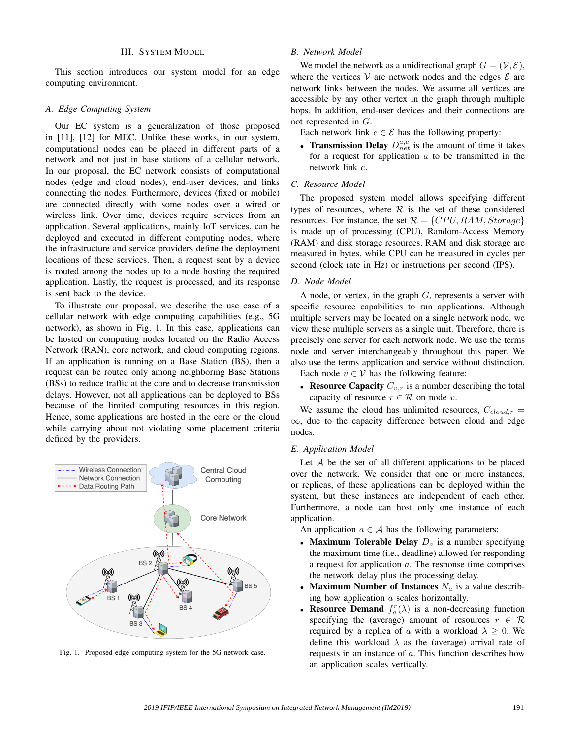## III. SYSTEM MODEL

This section introduces our system model for an edge computing environment.

#### *A. Edge Computing System*

Our EC system is a generalization of those proposed in [11], [12] for MEC. Unlike these works, in our system, computational nodes can be placed in different parts of a network and not just in base stations of a cellular network. In our proposal, the EC network consists of computational nodes (edge and cloud nodes), end-user devices, and links connecting the nodes. Furthermore, devices (fixed or mobile) are connected directly with some nodes over a wired or wireless link. Over time, devices require services from an application. Several applications, mainly IoT services, can be deployed and executed in different computing nodes, where the infrastructure and service providers define the deployment locations of these services. Then, a request sent by a device is routed among the nodes up to a node hosting the required application. Lastly, the request is processed, and its response is sent back to the device.

To illustrate our proposal, we describe the use case of a cellular network with edge computing capabilities (e.g., 5G network), as shown in Fig. 1. In this case, applications can be hosted on computing nodes located on the Radio Access Network (RAN), core network, and cloud computing regions. If an application is running on a Base Station (BS), then a request can be routed only among neighboring Base Stations (BSs) to reduce traffic at the core and to decrease transmission delays. However, not all applications can be deployed to BSs because of the limited computing resources in this region. Hence, some applications are hosted in the core or the cloud while carrying about not violating some placement criteria defined by the providers.



Fig. 1. Proposed edge computing system for the 5G network case.

# *B. Network Model*

We model the network as a unidirectional graph  $G = (\mathcal{V}, \mathcal{E}),$ where the vertices  $V$  are network nodes and the edges  $\mathcal E$  are network links between the nodes. We assume all vertices are accessible by any other vertex in the graph through multiple hops. In addition, end-user devices and their connections are not represented in G.

Each network link  $e \in \mathcal{E}$  has the following property:

• Transmission Delay  $D_{net}^{a,e}$  is the amount of time it takes for a request for application  $a$  to be transmitted in the network link e.

#### *C. Resource Model*

The proposed system model allows specifying different types of resources, where  $R$  is the set of these considered resources. For instance, the set  $\mathcal{R} = \{CPU, RAM, Storage\}$ is made up of processing (CPU), Random-Access Memory (RAM) and disk storage resources. RAM and disk storage are measured in bytes, while CPU can be measured in cycles per second (clock rate in Hz) or instructions per second (IPS).

## *D. Node Model*

A node, or vertex, in the graph  $G$ , represents a server with specific resource capabilities to run applications. Although multiple servers may be located on a single network node, we view these multiple servers as a single unit. Therefore, there is precisely one server for each network node. We use the terms node and server interchangeably throughout this paper. We also use the terms application and service without distinction.

Each node  $v \in V$  has the following feature:

• Resource Capacity  $C_{v,r}$  is a number describing the total capacity of resource  $r \in \mathcal{R}$  on node v.

We assume the cloud has unlimited resources,  $C_{cloud,r}$  = ∞, due to the capacity difference between cloud and edge nodes.

#### *E. Application Model*

Let  $A$  be the set of all different applications to be placed over the network. We consider that one or more instances, or replicas, of these applications can be deployed within the system, but these instances are independent of each other. Furthermore, a node can host only one instance of each application.

An application  $a \in \mathcal{A}$  has the following parameters:

- Maximum Tolerable Delay  $D_a$  is a number specifying the maximum time (i.e., deadline) allowed for responding a request for application a. The response time comprises the network delay plus the processing delay.
- Maximum Number of Instances  $N_a$  is a value describing how application  $a$  scales horizontally.
- Resource Demand  $f_a^r(\lambda)$  is a non-decreasing function specifying the (average) amount of resources  $r \in \mathcal{R}$ required by a replica of a with a workload  $\lambda \geq 0$ . We define this workload  $\lambda$  as the (average) arrival rate of requests in an instance of a. This function describes how an application scales vertically.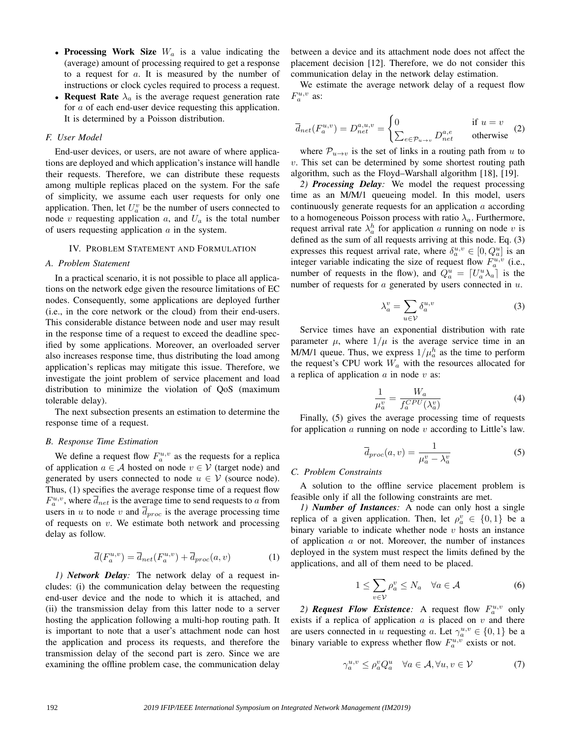- Processing Work Size  $W_a$  is a value indicating the (average) amount of processing required to get a response to a request for a. It is measured by the number of instructions or clock cycles required to process a request.
- Request Rate  $\lambda_a$  is the average request generation rate for a of each end-user device requesting this application. It is determined by a Poisson distribution.

# *F. User Model*

End-user devices, or users, are not aware of where applications are deployed and which application's instance will handle their requests. Therefore, we can distribute these requests among multiple replicas placed on the system. For the safe of simplicity, we assume each user requests for only one application. Then, let  $U_a^v$  be the number of users connected to node v requesting application  $a$ , and  $U_a$  is the total number of users requesting application  $a$  in the system.

#### IV. PROBLEM STATEMENT AND FORMULATION

#### *A. Problem Statement*

In a practical scenario, it is not possible to place all applications on the network edge given the resource limitations of EC nodes. Consequently, some applications are deployed further (i.e., in the core network or the cloud) from their end-users. This considerable distance between node and user may result in the response time of a request to exceed the deadline specified by some applications. Moreover, an overloaded server also increases response time, thus distributing the load among application's replicas may mitigate this issue. Therefore, we investigate the joint problem of service placement and load distribution to minimize the violation of QoS (maximum tolerable delay).

The next subsection presents an estimation to determine the response time of a request.

#### *B. Response Time Estimation*

We define a request flow  $F_a^{u,v}$  as the requests for a replica of application  $a \in A$  hosted on node  $v \in V$  (target node) and generated by users connected to node  $u \in V$  (source node). Thus, (1) specifies the average response time of a request flow  $F_a^{u,v}$ , where  $\overline{d}_{net}$  is the average time to send requests to a from users in u to node v and  $\overline{d}_{proc}$  is the average processing time of requests on  $v$ . We estimate both network and processing delay as follow.

$$
\overline{d}(F_a^{u,v}) = \overline{d}_{net}(F_a^{u,v}) + \overline{d}_{proc}(a,v)
$$
 (1)

*1) Network Delay:* The network delay of a request includes: (i) the communication delay between the requesting end-user device and the node to which it is attached, and (ii) the transmission delay from this latter node to a server hosting the application following a multi-hop routing path. It is important to note that a user's attachment node can host the application and process its requests, and therefore the transmission delay of the second part is zero. Since we are examining the offline problem case, the communication delay

between a device and its attachment node does not affect the placement decision [12]. Therefore, we do not consider this communication delay in the network delay estimation.

We estimate the average network delay of a request flow  $F_a^{u,v}$  as:

$$
\overline{d}_{net}(F_a^{u,v}) = D_{net}^{a,u,v} = \begin{cases} 0 & \text{if } u = v \\ \sum_{e \in \mathcal{P}_{u \to v}} D_{net}^{a,e} & \text{otherwise} \end{cases}
$$
 (2)

where  $\mathcal{P}_{u\to v}$  is the set of links in a routing path from u to  $v$ . This set can be determined by some shortest routing path algorithm, such as the Floyd–Warshall algorithm [18], [19].

*2) Processing Delay:* We model the request processing time as an M/M/1 queueing model. In this model, users continuously generate requests for an application a according to a homogeneous Poisson process with ratio  $\lambda_a$ . Furthermore, request arrival rate  $\lambda_a^h$  for application a running on node v is defined as the sum of all requests arriving at this node. Eq. (3) expresses this request arrival rate, where  $\delta_a^{u,v} \in [0, Q_a^u]$  is an integer variable indicating the size of request flow  $F_a^{u,v}$  (i.e., number of requests in the flow), and  $Q_a^u = [U_a^u \lambda_a]$  is the number of requests for  $a$  generated by users connected in  $u$ .

$$
\lambda_a^v = \sum_{u \in \mathcal{V}} \delta_a^{u,v} \tag{3}
$$

Service times have an exponential distribution with rate parameter  $\mu$ , where  $1/\mu$  is the average service time in an M/M/1 queue. Thus, we express  $1/\mu_a^h$  as the time to perform the request's CPU work  $W_a$  with the resources allocated for a replica of application  $\alpha$  in node  $\upsilon$  as:

$$
\frac{1}{\mu_a^v} = \frac{W_a}{f_a^{CPU}(\lambda_a^v)}\tag{4}
$$

Finally, (5) gives the average processing time of requests for application  $a$  running on node  $v$  according to Little's law.

$$
\overline{d}_{proc}(a,v) = \frac{1}{\mu_a^v - \lambda_a^v}
$$
 (5)

#### *C. Problem Constraints*

A solution to the offline service placement problem is feasible only if all the following constraints are met.

*1) Number of Instances:* A node can only host a single replica of a given application. Then, let  $\rho_a^v \in \{0, 1\}$  be a binary variable to indicate whether node  $v$  hosts an instance of application  $a$  or not. Moreover, the number of instances deployed in the system must respect the limits defined by the applications, and all of them need to be placed.

$$
1 \le \sum_{v \in \mathcal{V}} \rho_a^v \le N_a \quad \forall a \in \mathcal{A} \tag{6}
$$

2) **Request Flow Existence:** A request flow  $F_a^{u,v}$  only exists if a replica of application  $a$  is placed on  $v$  and there are users connected in u requesting a. Let  $\gamma_a^{u,v} \in \{0,1\}$  be a binary variable to express whether flow  $F_a^{u,v}$  exists or not.

$$
\gamma_a^{u,v} \le \rho_a^v Q_a^u \quad \forall a \in \mathcal{A}, \forall u, v \in \mathcal{V} \tag{7}
$$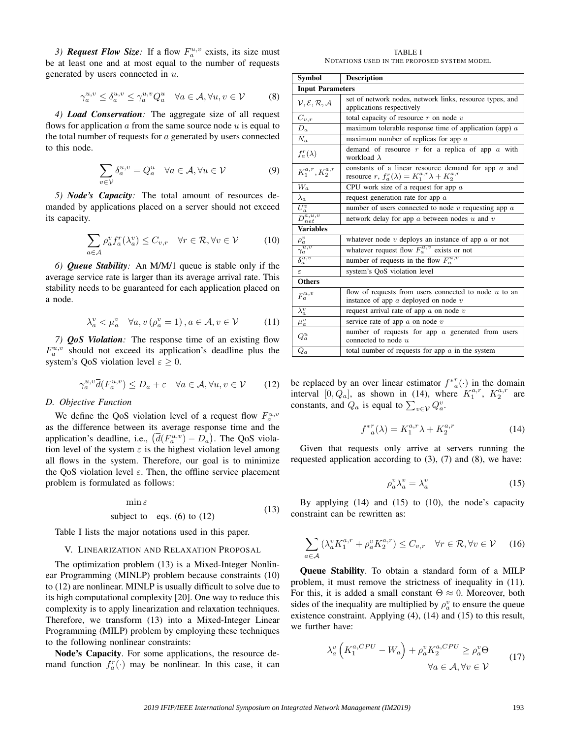3) **Request Flow Size**: If a flow  $F_a^{u,v}$  exists, its size must be at least one and at most equal to the number of requests generated by users connected in u.

$$
\gamma_a^{u,v} \le \delta_a^{u,v} \le \gamma_a^{u,v} Q_a^u \quad \forall a \in \mathcal{A}, \forall u, v \in \mathcal{V}
$$
 (8)

*4) Load Conservation:* The aggregate size of all request flows for application  $\alpha$  from the same source node  $\alpha$  is equal to the total number of requests for  $a$  generated by users connected to this node.

$$
\sum_{v \in \mathcal{V}} \delta_a^{u,v} = Q_a^u \quad \forall a \in \mathcal{A}, \forall u \in \mathcal{V}
$$
 (9)

*5) Node's Capacity:* The total amount of resources demanded by applications placed on a server should not exceed its capacity.

$$
\sum_{a \in \mathcal{A}} \rho_a^v f_a^r(\lambda_a^v) \le C_{v,r} \quad \forall r \in \mathcal{R}, \forall v \in \mathcal{V} \tag{10}
$$

*6) Queue Stability:* An M/M/1 queue is stable only if the average service rate is larger than its average arrival rate. This stability needs to be guaranteed for each application placed on a node.

$$
\lambda_a^v < \mu_a^v \quad \forall a, v \left( \rho_a^v = 1 \right), a \in \mathcal{A}, v \in \mathcal{V} \tag{11}
$$

*7) QoS Violation:* The response time of an existing flow  $F_a^{u,v}$  should not exceed its application's deadline plus the system's QoS violation level  $\varepsilon \geq 0$ .

$$
\gamma_a^{u,v}\overline{d}(F_a^{u,v}) \le D_a + \varepsilon \quad \forall a \in \mathcal{A}, \forall u, v \in \mathcal{V} \tag{12}
$$

#### *D. Objective Function*

We define the QoS violation level of a request flow  $F_a^{u,v}$ as the difference between its average response time and the application's deadline, i.e.,  $(\overline{d}(F_a^{u,v}) - D_a)$ . The QoS violation level of the system  $\varepsilon$  is the highest violation level among all flows in the system. Therefore, our goal is to minimize the QoS violation level  $\varepsilon$ . Then, the offline service placement problem is formulated as follows:

$$
\min \varepsilon
$$
\nsubject to eqs. (6) to (12) (13)

Table I lists the major notations used in this paper.

#### V. LINEARIZATION AND RELAXATION PROPOSAL

The optimization problem (13) is a Mixed-Integer Nonlinear Programming (MINLP) problem because constraints (10) to (12) are nonlinear. MINLP is usually difficult to solve due to its high computational complexity [20]. One way to reduce this complexity is to apply linearization and relaxation techniques. Therefore, we transform (13) into a Mixed-Integer Linear Programming (MILP) problem by employing these techniques to the following nonlinear constraints:

Node's Capacity. For some applications, the resource demand function  $f_a^r(\cdot)$  may be nonlinear. In this case, it can

TABLE I NOTATIONS USED IN THE PROPOSED SYSTEM MODEL

| <b>Symbol</b>                   | <b>Description</b>                                                                                                         |  |
|---------------------------------|----------------------------------------------------------------------------------------------------------------------------|--|
| <b>Input Parameters</b>         |                                                                                                                            |  |
| V, E, R, A                      | set of network nodes, network links, resource types, and<br>applications respectively                                      |  |
| $C_{v,r}$                       | total capacity of resource $r$ on node $v$                                                                                 |  |
| $D_a$                           | maximum tolerable response time of application (app) $a$                                                                   |  |
| $N_a$                           | maximum number of replicas for app $a$                                                                                     |  |
| $f_a^r(\lambda)$                | demand of resource $r$ for a replica of app $\alpha$ with<br>workload $\lambda$                                            |  |
| $K_1^{a,r},K_2^{a,r}$           | constants of a linear resource demand for app $\alpha$ and<br>resource r, $f_a^r(\lambda) = K_1^{a,r} \lambda + K_2^{a,r}$ |  |
| $W_a$                           | CPU work size of a request for app $a$                                                                                     |  |
| $\lambda_a$                     | request generation rate for app $a$                                                                                        |  |
|                                 | number of users connected to node $v$ requesting app $a$                                                                   |  |
| $\frac{U^v_a}{D^{a,u,v}_{net}}$ | network delay for app $a$ between nodes $u$ and $v$                                                                        |  |
| <b>Variables</b>                |                                                                                                                            |  |
| $\rho^v_a$                      | whatever node $v$ deploys an instance of app $a$ or not                                                                    |  |
| $\frac{u}{\gamma_a^{u,v}}$      | whatever request flow $F_a^{u,v}$ exists or not                                                                            |  |
| $\overline{\delta_a^{u,v}}$     | number of requests in the flow $F_a^{u,v}$                                                                                 |  |
| $\varepsilon$                   | system's QoS violation level                                                                                               |  |
| <b>Others</b>                   |                                                                                                                            |  |
| $F_a^{u,v}$                     | flow of requests from users connected to node $u$ to an<br>instance of app $a$ deployed on node $v$                        |  |
| $\lambda^v_a$                   | request arrival rate of app $a$ on node $v$                                                                                |  |
| $\mu^v_a$                       | service rate of app $a$ on node $v$                                                                                        |  |
| $Q^u_a$                         | number of requests for app $a$ generated from users<br>connected to node $u$                                               |  |
| $Q_a$                           | total number of requests for app $\alpha$ in the system                                                                    |  |

be replaced by an over linear estimator  $f^{*}{}_{a}^{r}(\cdot)$  in the domain interval [0,  $Q_a$ ], as shown in (14), where  $K_1^{a,r}$ ,  $K_2^{a,r}$  are constants, and  $Q_a$  is equal to  $\sum_{v \in \mathcal{V}} Q_u^v$ .

$$
f^{*}{}_{a}^{r}(\lambda) = K_{1}^{a,r}\lambda + K_{2}^{a,r}
$$
 (14)

Given that requests only arrive at servers running the requested application according to (3), (7) and (8), we have:

$$
\rho_a^v \lambda_a^v = \lambda_a^v \tag{15}
$$

By applying  $(14)$  and  $(15)$  to  $(10)$ , the node's capacity constraint can be rewritten as:

$$
\sum_{a \in \mathcal{A}} \left( \lambda_a^v K_1^{a,r} + \rho_a^v K_2^{a,r} \right) \le C_{v,r} \quad \forall r \in \mathcal{R}, \forall v \in \mathcal{V} \tag{16}
$$

Queue Stability. To obtain a standard form of a MILP problem, it must remove the strictness of inequality in (11). For this, it is added a small constant  $\Theta \approx 0$ . Moreover, both sides of the inequality are multiplied by  $\rho_a^v$  to ensure the queue existence constraint. Applying (4), (14) and (15) to this result, we further have:

$$
\lambda_a^v \left( K_1^{a,CPU} - W_a \right) + \rho_a^v K_2^{a, CPU} \ge \rho_a^v \Theta
$$
  

$$
\forall a \in \mathcal{A}, \forall v \in \mathcal{V}
$$
 (17)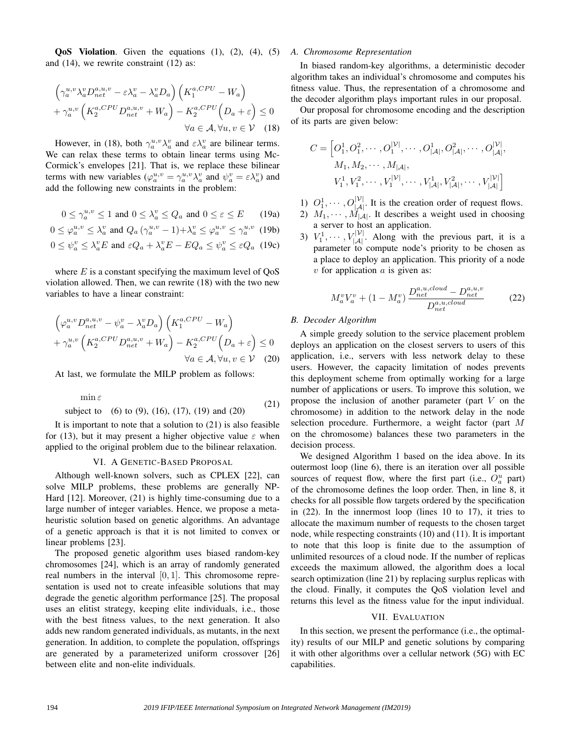QoS Violation. Given the equations (1), (2), (4), (5) *A. Chromosome Representation* and (14), we rewrite constraint (12) as:

$$
\left(\gamma_a^{u,v}\lambda_a^v D_{net}^{a,u,v} - \varepsilon \lambda_a^v - \lambda_a^v D_a\right) \left(K_1^{a,CPU} - W_a\right) + \gamma_a^{u,v} \left(K_2^{a,CPU} D_{net}^{a,u,v} + W_a\right) - K_2^{a,CPU} \left(D_a + \varepsilon\right) \le 0 \forall a \in \mathcal{A}, \forall u, v \in \mathcal{V}
$$
 (18)

However, in (18), both  $\gamma_a^{u,v} \lambda_a^v$  and  $\epsilon \lambda_a^v$  are bilinear terms. We can relax these terms to obtain linear terms using Mc-Cormick's envelopes [21]. That is, we replace these bilinear terms with new variables  $(\varphi_a^{u,v} = \gamma_a^{u,v} \lambda_a^v$  and  $\psi_a^v = \varepsilon \lambda_a^v$  and add the following new constraints in the problem:

$$
0 \le \gamma_a^{u,v} \le 1 \text{ and } 0 \le \lambda_a^v \le Q_a \text{ and } 0 \le \varepsilon \le E \qquad (19a)
$$

$$
0 \le \varphi_a^{u,v} \le \lambda_a^v \text{ and } Q_a(\gamma_a^{u,v} - 1) + \lambda_a^v \le \varphi_a^{u,v} \le \gamma_a^{u,v} \tag{19b}
$$

$$
0 \le \psi_a^v \le \lambda_a^v E \text{ and } \varepsilon Q_a + \lambda_a^v E - E Q_a \le \psi_a^v \le \varepsilon Q_a \tag{19c}
$$

where  $E$  is a constant specifying the maximum level of  $QoS$ violation allowed. Then, we can rewrite (18) with the two new variables to have a linear constraint:

$$
\left(\varphi_a^{u,v} D_{net}^{a,u,v} - \psi_a^v - \lambda_a^v D_a\right) \left(K_1^{a,CPU} - W_a\right) + \gamma_a^{u,v} \left(K_2^{a,CPU} D_{net}^{a,u,v} + W_a\right) - K_2^{a,CPU} \left(D_a + \varepsilon\right) \le 0 \forall a \in \mathcal{A}, \forall u, v \in \mathcal{V}
$$
 (20)

At last, we formulate the MILP problem as follows:

 $\min \varepsilon$ subject to (6) to (9), (16), (17), (19) and (20) (21)

It is important to note that a solution to (21) is also feasible for (13), but it may present a higher objective value  $\varepsilon$  when applied to the original problem due to the bilinear relaxation.

# VI. A GENETIC-BASED PROPOSAL

Although well-known solvers, such as CPLEX [22], can solve MILP problems, these problems are generally NP-Hard [12]. Moreover, (21) is highly time-consuming due to a large number of integer variables. Hence, we propose a metaheuristic solution based on genetic algorithms. An advantage of a genetic approach is that it is not limited to convex or linear problems [23].

The proposed genetic algorithm uses biased random-key chromosomes [24], which is an array of randomly generated real numbers in the interval  $[0, 1]$ . This chromosome representation is used not to create infeasible solutions that may degrade the genetic algorithm performance [25]. The proposal uses an elitist strategy, keeping elite individuals, i.e., those with the best fitness values, to the next generation. It also adds new random generated individuals, as mutants, in the next generation. In addition, to complete the population, offsprings are generated by a parameterized uniform crossover [26] between elite and non-elite individuals.

In biased random-key algorithms, a deterministic decoder algorithm takes an individual's chromosome and computes his fitness value. Thus, the representation of a chromosome and the decoder algorithm plays important rules in our proposal.

Our proposal for chromosome encoding and the description of its parts are given below:

$$
C = \left[ O_1^1, O_1^2, \cdots, O_1^{|\mathcal{V}|}, \cdots, O_{|\mathcal{A}|}^1, O_{|\mathcal{A}|}^2, \cdots, O_{|\mathcal{A}|}^{|\mathcal{V}|}, \right. \\ \left. M_1, M_2, \cdots, M_{|\mathcal{A}|}, \right. \\ \left. V_1^1, V_1^2, \cdots, V_1^{|\mathcal{V}|}, \cdots, V_{|\mathcal{A}|}^1, V_{|\mathcal{A}|}^2, \cdots, V_{|\mathcal{A}|}^{|\mathcal{V}|} \right]
$$

- 1)  $O_1^1, \cdots, O_{|\mathcal{A}|}^{|\mathcal{V}|}$ . It is the creation order of request flows.
- 2)  $M_1, \cdots, M_{|\mathcal{A}|}$ . It describes a weight used in choosing a server to host an application.
- 3)  $V_1^1, \cdots, V_{|\mathcal{A}|}^{|\mathcal{V}|}$ . Along with the previous part, it is a parameter to compute node's priority to be chosen as a place to deploy an application. This priority of a node  $v$  for application  $a$  is given as:

$$
M_a^v V_a^v + (1 - M_a^v) \frac{D_{net}^{a, u, cloud} - D_{net}^{a, u, v}}{D_{net}^{a, u, cloud}}
$$
 (22)

#### *B. Decoder Algorithm*

A simple greedy solution to the service placement problem deploys an application on the closest servers to users of this application, i.e., servers with less network delay to these users. However, the capacity limitation of nodes prevents this deployment scheme from optimally working for a large number of applications or users. To improve this solution, we propose the inclusion of another parameter (part V on the chromosome) in addition to the network delay in the node selection procedure. Furthermore, a weight factor (part M on the chromosome) balances these two parameters in the decision process.

We designed Algorithm 1 based on the idea above. In its outermost loop (line 6), there is an iteration over all possible sources of request flow, where the first part (i.e.,  $O_a^u$  part) of the chromosome defines the loop order. Then, in line 8, it checks for all possible flow targets ordered by the specification in (22). In the innermost loop (lines 10 to 17), it tries to allocate the maximum number of requests to the chosen target node, while respecting constraints (10) and (11). It is important to note that this loop is finite due to the assumption of unlimited resources of a cloud node. If the number of replicas exceeds the maximum allowed, the algorithm does a local search optimization (line 21) by replacing surplus replicas with the cloud. Finally, it computes the QoS violation level and returns this level as the fitness value for the input individual.

## VII. EVALUATION

In this section, we present the performance (i.e., the optimality) results of our MILP and genetic solutions by comparing it with other algorithms over a cellular network (5G) with EC capabilities.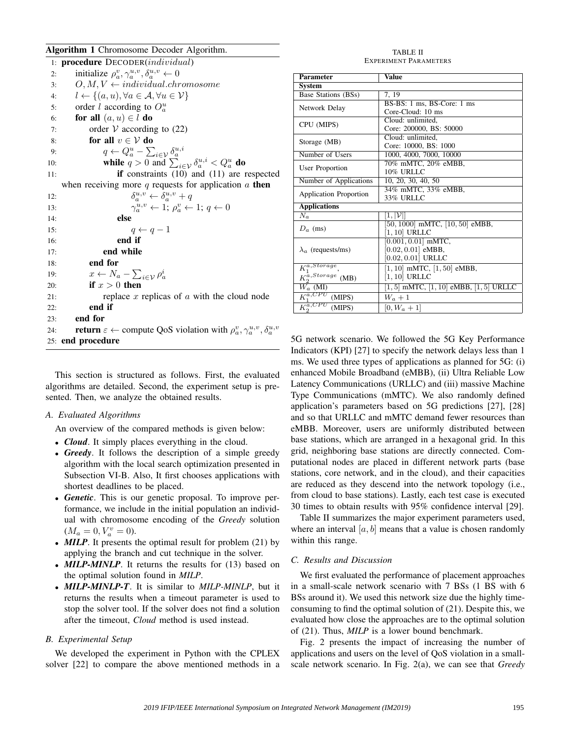# Algorithm 1 Chromosome Decoder Algorithm.

|     | 1: procedure DECODER(individual)                                                                             |
|-----|--------------------------------------------------------------------------------------------------------------|
| 2:  | initialize $\rho_a^v, \gamma_a^{u,v}, \delta_a^{u,v} \leftarrow 0$                                           |
| 3:  | $O, M, V \leftarrow individual.chromosome$                                                                   |
| 4:  | $l \leftarrow \{(a, u), \forall a \in \mathcal{A}, \forall u \in \mathcal{V}\}\$                             |
| 5:  | order l according to $O_a^u$                                                                                 |
| 6:  | for all $(a, u) \in l$ do                                                                                    |
| 7:  | order $V$ according to (22)                                                                                  |
| 8:  | for all $v \in V$ do                                                                                         |
| 9:  | $q \leftarrow Q_a^u - \sum_{i \in \mathcal{V}} \delta_a^{u,i}$                                               |
| 10: | <b>while</b> $q > 0$ and $\sum_{i \in \mathcal{V}} \delta_a^{u,i} < Q_a^u$ <b>do</b>                         |
| 11: | if constraints $(10)$ and $(11)$ are respected                                                               |
|     | when receiving more $q$ requests for application $a$ then                                                    |
| 12: | $\delta_a^{u,v} \leftarrow \delta_a^{u,v} + q$                                                               |
| 13: | $\gamma_a^{u,v} \leftarrow 1$ ; $\rho_a^v \leftarrow 1$ ; $q \leftarrow 0$                                   |
| 14: | else                                                                                                         |
| 15: | $q \leftarrow q-1$                                                                                           |
| 16: | end if                                                                                                       |
| 17: | end while                                                                                                    |
| 18: | end for                                                                                                      |
| 19: | $x \leftarrow N_a - \sum_{i \in \mathcal{V}} \rho_a^i$                                                       |
| 20: | if $x > 0$ then                                                                                              |
| 21: | replace $x$ replicas of $a$ with the cloud node                                                              |
| 22: | end if                                                                                                       |
| 23: | end for                                                                                                      |
| 24: | <b>return</b> $\varepsilon \leftarrow$ compute QoS violation with $\rho_a^v, \gamma_a^{u,v}, \delta_a^{u,v}$ |
|     | 25: end procedure                                                                                            |
|     |                                                                                                              |

This section is structured as follows. First, the evaluated algorithms are detailed. Second, the experiment setup is presented. Then, we analyze the obtained results.

#### *A. Evaluated Algorithms*

An overview of the compared methods is given below:

- *Cloud*. It simply places everything in the cloud.
- *Greedy*. It follows the description of a simple greedy algorithm with the local search optimization presented in Subsection VI-B. Also, It first chooses applications with shortest deadlines to be placed.
- *Genetic*. This is our genetic proposal. To improve performance, we include in the initial population an individual with chromosome encoding of the *Greedy* solution  $(M_a = 0, V_a^v = 0).$
- *MILP*. It presents the optimal result for problem (21) by applying the branch and cut technique in the solver.
- **MILP-MINLP**. It returns the results for (13) based on the optimal solution found in *MILP*.
- *MILP-MINLP-T*. It is similar to *MILP-MINLP*, but it returns the results when a timeout parameter is used to stop the solver tool. If the solver does not find a solution after the timeout, *Cloud* method is used instead.

# *B. Experimental Setup*

We developed the experiment in Python with the CPLEX solver [22] to compare the above mentioned methods in a

TABLE II EXPERIMENT PARAMETERS

| <b>Parameter</b>                                               | <b>Value</b>                                  |  |  |
|----------------------------------------------------------------|-----------------------------------------------|--|--|
| <b>System</b>                                                  |                                               |  |  |
| Base Stations (BSs)                                            | 7, 19                                         |  |  |
|                                                                | BS-BS: 1 ms, BS-Core: 1 ms                    |  |  |
| Network Delay                                                  | Core-Cloud: 10 ms                             |  |  |
| CPU (MIPS)                                                     | Cloud: unlimited,                             |  |  |
|                                                                | Core: 200000, BS: 50000                       |  |  |
| Storage (MB)                                                   | Cloud: unlimited,                             |  |  |
|                                                                | Core: 10000, BS: 1000                         |  |  |
| Number of Users                                                | 1000, 4000, 7000, 10000                       |  |  |
| User Proportion                                                | 70% mMTC, 20% eMBB,                           |  |  |
|                                                                | 10% URLLC                                     |  |  |
| Number of Applications                                         | 10, 20, 30, 40, 50                            |  |  |
| <b>Application Proportion</b>                                  | 34% mMTC, 33% eMBB,                           |  |  |
|                                                                | <b>33% URLLC</b>                              |  |  |
| <b>Applications</b>                                            |                                               |  |  |
| $N_a$                                                          | $[1, \mathcal{V} ]$                           |  |  |
| $D_a$ (ms)                                                     | 50, 1000 mMTC, [10, 50] eMBB,                 |  |  |
|                                                                | $[1, 10]$ URLLC                               |  |  |
|                                                                | $[0.001, 0.01]$ mMTC,                         |  |  |
| $\lambda_a$ (requests/ms)                                      | $[0.02, 0.01]$ eMBB,                          |  |  |
|                                                                | $[0.02, 0.01]$ URLLC                          |  |  |
| $\overline{K_1^{a,Storage}}$                                   | $[1, 10]$ mMTC, $[1, 50]$ eMBB,               |  |  |
| $K_2^{\overset{\text{L}}{a}, Storage}$ (MB)                    | $[1, 10]$ URLLC                               |  |  |
| $W_a$ (MI)                                                     | $[1, 5]$ mMTC, $[1, 10]$ eMBB, $[1, 5]$ URLLC |  |  |
|                                                                |                                               |  |  |
| $\overline{K_1^{a,CPU}}$<br>(MIPS)<br>$\overline{K_2^{a,CPU}}$ | $W_a+1$                                       |  |  |

5G network scenario. We followed the 5G Key Performance Indicators (KPI) [27] to specify the network delays less than 1 ms. We used three types of applications as planned for 5G: (i) enhanced Mobile Broadband (eMBB), (ii) Ultra Reliable Low Latency Communications (URLLC) and (iii) massive Machine Type Communications (mMTC). We also randomly defined application's parameters based on 5G predictions [27], [28] and so that URLLC and mMTC demand fewer resources than eMBB. Moreover, users are uniformly distributed between base stations, which are arranged in a hexagonal grid. In this grid, neighboring base stations are directly connected. Computational nodes are placed in different network parts (base stations, core network, and in the cloud), and their capacities are reduced as they descend into the network topology (i.e., from cloud to base stations). Lastly, each test case is executed 30 times to obtain results with 95% confidence interval [29].

Table II summarizes the major experiment parameters used, where an interval  $[a, b]$  means that a value is chosen randomly within this range.

# *C. Results and Discussion*

We first evaluated the performance of placement approaches in a small-scale network scenario with 7 BSs (1 BS with 6 BSs around it). We used this network size due the highly timeconsuming to find the optimal solution of (21). Despite this, we evaluated how close the approaches are to the optimal solution of (21). Thus, *MILP* is a lower bound benchmark.

Fig. 2 presents the impact of increasing the number of applications and users on the level of QoS violation in a smallscale network scenario. In Fig. 2(a), we can see that *Greedy*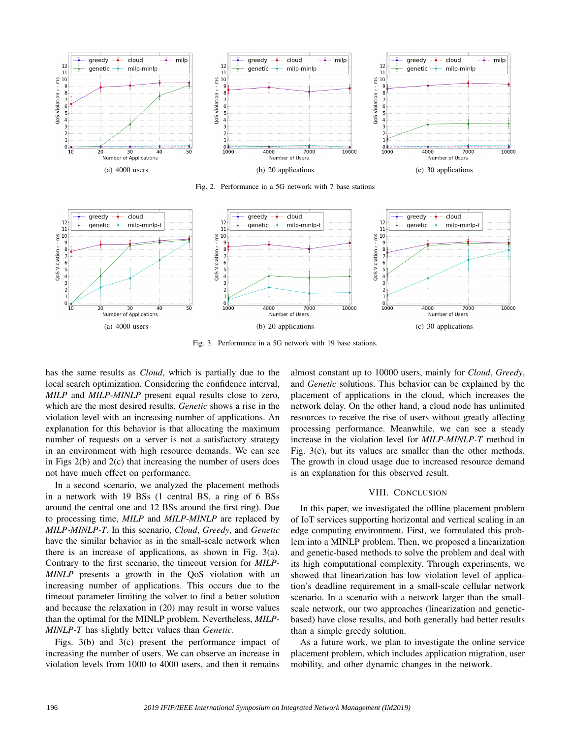

Fig. 2. Performance in a 5G network with 7 base stations



Fig. 3. Performance in a 5G network with 19 base stations.

has the same results as *Cloud*, which is partially due to the local search optimization. Considering the confidence interval, *MILP* and *MILP-MINLP* present equal results close to zero, which are the most desired results. *Genetic* shows a rise in the violation level with an increasing number of applications. An explanation for this behavior is that allocating the maximum number of requests on a server is not a satisfactory strategy in an environment with high resource demands. We can see in Figs 2(b) and 2(c) that increasing the number of users does not have much effect on performance.

In a second scenario, we analyzed the placement methods in a network with 19 BSs (1 central BS, a ring of 6 BSs around the central one and 12 BSs around the first ring). Due to processing time, *MILP* and *MILP-MINLP* are replaced by *MILP-MINLP-T*. In this scenario, *Cloud*, *Greedy*, and *Genetic* have the similar behavior as in the small-scale network when there is an increase of applications, as shown in Fig. 3(a). Contrary to the first scenario, the timeout version for *MILP-MINLP* presents a growth in the QoS violation with an increasing number of applications. This occurs due to the timeout parameter limiting the solver to find a better solution and because the relaxation in (20) may result in worse values than the optimal for the MINLP problem. Nevertheless, *MILP-MINLP-T* has slightly better values than *Genetic*.

Figs. 3(b) and 3(c) present the performance impact of increasing the number of users. We can observe an increase in violation levels from 1000 to 4000 users, and then it remains almost constant up to 10000 users, mainly for *Cloud*, *Greedy*, and *Genetic* solutions. This behavior can be explained by the placement of applications in the cloud, which increases the network delay. On the other hand, a cloud node has unlimited resources to receive the rise of users without greatly affecting processing performance. Meanwhile, we can see a steady increase in the violation level for *MILP-MINLP-T* method in Fig. 3(c), but its values are smaller than the other methods. The growth in cloud usage due to increased resource demand is an explanation for this observed result.

#### VIII. CONCLUSION

In this paper, we investigated the offline placement problem of IoT services supporting horizontal and vertical scaling in an edge computing environment. First, we formulated this problem into a MINLP problem. Then, we proposed a linearization and genetic-based methods to solve the problem and deal with its high computational complexity. Through experiments, we showed that linearization has low violation level of application's deadline requirement in a small-scale cellular network scenario. In a scenario with a network larger than the smallscale network, our two approaches (linearization and geneticbased) have close results, and both generally had better results than a simple greedy solution.

As a future work, we plan to investigate the online service placement problem, which includes application migration, user mobility, and other dynamic changes in the network.